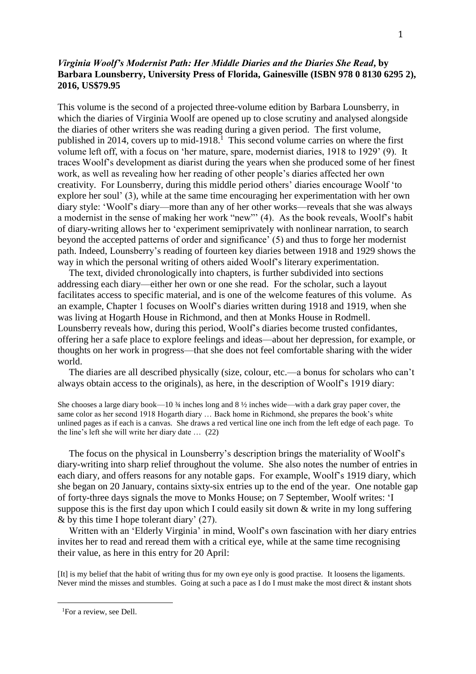## *Virginia Woolf's Modernist Path: Her Middle Diaries and the Diaries She Read***, by Barbara Lounsberry, University Press of Florida, Gainesville (ISBN 978 0 8130 6295 2), 2016, US\$79.95**

This volume is the second of a projected three-volume edition by Barbara Lounsberry, in which the diaries of Virginia Woolf are opened up to close scrutiny and analysed alongside the diaries of other writers she was reading during a given period. The first volume, published in 2014, covers up to mid-1918.<sup>1</sup> This second volume carries on where the first volume left off, with a focus on 'her mature, spare, modernist diaries, 1918 to 1929' (9). It traces Woolf's development as diarist during the years when she produced some of her finest work, as well as revealing how her reading of other people's diaries affected her own creativity. For Lounsberry, during this middle period others' diaries encourage Woolf 'to explore her soul' (3), while at the same time encouraging her experimentation with her own diary style: 'Woolf's diary—more than any of her other works—reveals that she was always a modernist in the sense of making her work "new"' (4). As the book reveals, Woolf's habit of diary-writing allows her to 'experiment semiprivately with nonlinear narration, to search beyond the accepted patterns of order and significance' (5) and thus to forge her modernist path. Indeed, Lounsberry's reading of fourteen key diaries between 1918 and 1929 shows the way in which the personal writing of others aided Woolf's literary experimentation.

The text, divided chronologically into chapters, is further subdivided into sections addressing each diary—either her own or one she read. For the scholar, such a layout facilitates access to specific material, and is one of the welcome features of this volume. As an example, Chapter 1 focuses on Woolf's diaries written during 1918 and 1919, when she was living at Hogarth House in Richmond, and then at Monks House in Rodmell. Lounsberry reveals how, during this period, Woolf's diaries become trusted confidantes, offering her a safe place to explore feelings and ideas—about her depression, for example, or thoughts on her work in progress—that she does not feel comfortable sharing with the wider world.

The diaries are all described physically (size, colour, etc.—a bonus for scholars who can't always obtain access to the originals), as here, in the description of Woolf's 1919 diary:

She chooses a large diary book—10  $\frac{3}{4}$  inches long and 8  $\frac{1}{2}$  inches wide—with a dark gray paper cover, the same color as her second 1918 Hogarth diary … Back home in Richmond, she prepares the book's white unlined pages as if each is a canvas. She draws a red vertical line one inch from the left edge of each page. To the line's left she will write her diary date … (22)

The focus on the physical in Lounsberry's description brings the materiality of Woolf's diary-writing into sharp relief throughout the volume. She also notes the number of entries in each diary, and offers reasons for any notable gaps. For example, Woolf's 1919 diary, which she began on 20 January, contains sixty-six entries up to the end of the year. One notable gap of forty-three days signals the move to Monks House; on 7 September, Woolf writes: 'I suppose this is the first day upon which I could easily sit down & write in my long suffering & by this time I hope tolerant diary' (27).

Written with an 'Elderly Virginia' in mind, Woolf's own fascination with her diary entries invites her to read and reread them with a critical eye, while at the same time recognising their value, as here in this entry for 20 April:

[It] is my belief that the habit of writing thus for my own eye only is good practise. It loosens the ligaments. Never mind the misses and stumbles. Going at such a pace as I do I must make the most direct & instant shots

 $\overline{a}$ 

<sup>&</sup>lt;sup>1</sup>For a review, see Dell.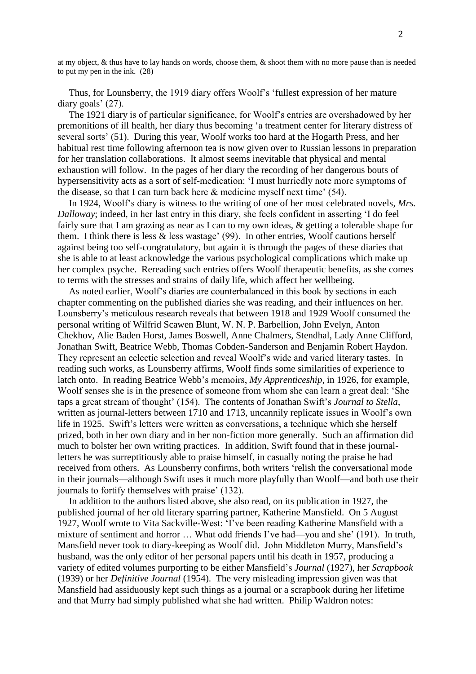at my object, & thus have to lay hands on words, choose them, & shoot them with no more pause than is needed to put my pen in the ink. (28)

Thus, for Lounsberry, the 1919 diary offers Woolf's 'fullest expression of her mature diary goals' (27).

The 1921 diary is of particular significance, for Woolf's entries are overshadowed by her premonitions of ill health, her diary thus becoming 'a treatment center for literary distress of several sorts' (51). During this year, Woolf works too hard at the Hogarth Press, and her habitual rest time following afternoon tea is now given over to Russian lessons in preparation for her translation collaborations. It almost seems inevitable that physical and mental exhaustion will follow. In the pages of her diary the recording of her dangerous bouts of hypersensitivity acts as a sort of self-medication: 'I must hurriedly note more symptoms of the disease, so that I can turn back here & medicine myself next time' (54).

In 1924, Woolf's diary is witness to the writing of one of her most celebrated novels, *Mrs. Dalloway*; indeed, in her last entry in this diary, she feels confident in asserting 'I do feel fairly sure that I am grazing as near as I can to my own ideas, & getting a tolerable shape for them. I think there is less  $\&$  less wastage' (99). In other entries, Woolf cautions herself against being too self-congratulatory, but again it is through the pages of these diaries that she is able to at least acknowledge the various psychological complications which make up her complex psyche. Rereading such entries offers Woolf therapeutic benefits, as she comes to terms with the stresses and strains of daily life, which affect her wellbeing.

As noted earlier, Woolf's diaries are counterbalanced in this book by sections in each chapter commenting on the published diaries she was reading, and their influences on her. Lounsberry's meticulous research reveals that between 1918 and 1929 Woolf consumed the personal writing of Wilfrid Scawen Blunt, W. N. P. Barbellion, John Evelyn, Anton Chekhov, Alie Baden Horst, James Boswell, Anne Chalmers, Stendhal, Lady Anne Clifford, Jonathan Swift, Beatrice Webb, Thomas Cobden-Sanderson and Benjamin Robert Haydon. They represent an eclectic selection and reveal Woolf's wide and varied literary tastes. In reading such works, as Lounsberry affirms, Woolf finds some similarities of experience to latch onto. In reading Beatrice Webb's memoirs, *My Apprenticeship*, in 1926, for example, Woolf senses she is in the presence of someone from whom she can learn a great deal: 'She taps a great stream of thought' (154). The contents of Jonathan Swift's *Journal to Stella*, written as journal-letters between 1710 and 1713, uncannily replicate issues in Woolf's own life in 1925. Swift's letters were written as conversations, a technique which she herself prized, both in her own diary and in her non-fiction more generally. Such an affirmation did much to bolster her own writing practices. In addition, Swift found that in these journalletters he was surreptitiously able to praise himself, in casually noting the praise he had received from others. As Lounsberry confirms, both writers 'relish the conversational mode in their journals—although Swift uses it much more playfully than Woolf—and both use their journals to fortify themselves with praise' (132).

In addition to the authors listed above, she also read, on its publication in 1927, the published journal of her old literary sparring partner, Katherine Mansfield. On 5 August 1927, Woolf wrote to Vita Sackville-West: 'I've been reading Katherine Mansfield with a mixture of sentiment and horror … What odd friends I've had—you and she' (191). In truth, Mansfield never took to diary-keeping as Woolf did. John Middleton Murry, Mansfield's husband, was the only editor of her personal papers until his death in 1957, producing a variety of edited volumes purporting to be either Mansfield's *Journal* (1927), her *Scrapbook* (1939) or her *Definitive Journal* (1954). The very misleading impression given was that Mansfield had assiduously kept such things as a journal or a scrapbook during her lifetime and that Murry had simply published what she had written. Philip Waldron notes: